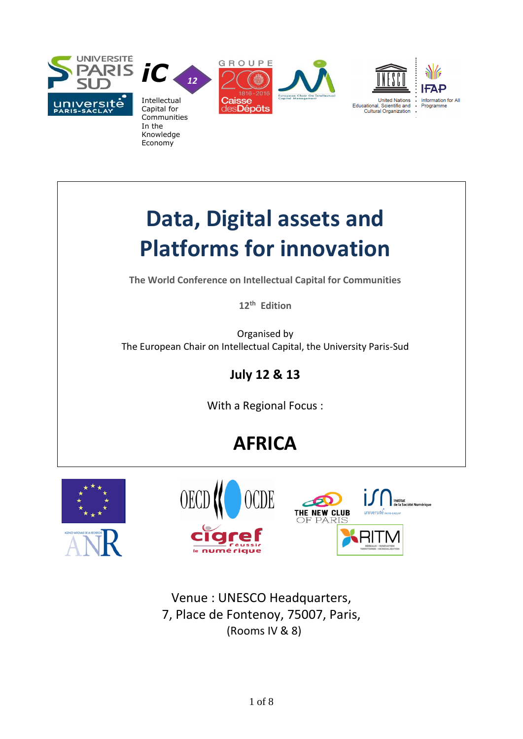

*iC*  Intellectual Capital for Communities In the Knowledge Economy

*12*







# **Data, Digital assets and Platforms for innovation**

**The World Conference on Intellectual Capital for Communities**

**12 th Edition**

Organised by The European Chair on Intellectual Capital, the University Paris-Sud

**July 12 & 13**

With a Regional Focus :

# **AFRICA**







Venue : UNESCO Headquarters, 7, Place de Fontenoy, 75007, Paris, (Rooms IV & 8)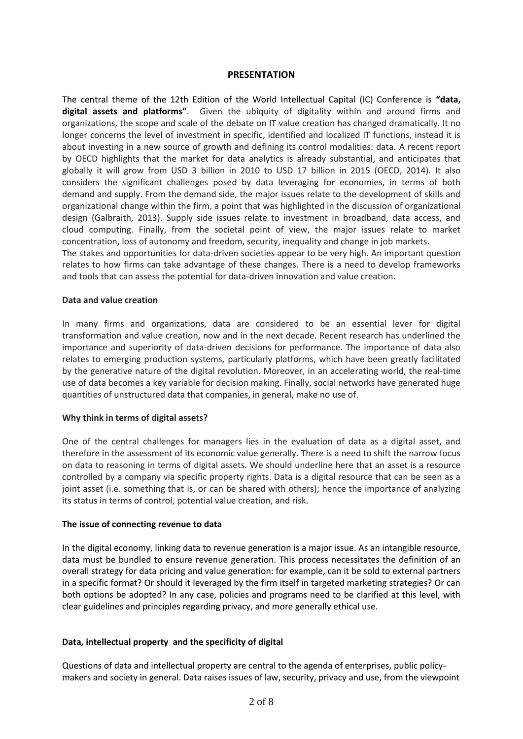#### **PRESENTATION**

The central theme of the 12th Edition of the World Intellectual Capital (IC) Conference is **"data, digital assets and platforms"**. Given the ubiquity of digitality within and around firms and organizations, the scope and scale of the debate on IT value creation has changed dramatically. It no longer concerns the level of investment in specific, identified and localized IT functions, instead it is about investing in a new source of growth and defining its control modalities: data. A recent report by OECD highlights that the market for data analytics is already substantial, and anticipates that globally it will grow from USD 3 billion in 2010 to USD 17 billion in 2015 (OECD, 2014). It also considers the significant challenges posed by data leveraging for economies, in terms of both demand and supply. From the demand side, the major issues relate to the development of skills and organizational change within the firm, a point that was highlighted in the discussion of organizational design (Galbraith, 2013). Supply side issues relate to investment in broadband, data access, and cloud computing. Finally, from the societal point of view, the major issues relate to market concentration, loss of autonomy and freedom, security, inequality and change in job markets.

The stakes and opportunities for data-driven societies appear to be very high. An important question relates to how firms can take advantage of these changes. There is a need to develop frameworks and tools that can assess the potential for data-driven innovation and value creation.

#### **Data and value creation**

In many firms and organizations, data are considered to be an essential lever for digital transformation and value creation, now and in the next decade. Recent research has underlined the importance and superiority of data-driven decisions for performance. The importance of data also relates to emerging production systems, particularly platforms, which have been greatly facilitated by the generative nature of the digital revolution. Moreover, in an accelerating world, the real-time use of data becomes a key variable for decision making. Finally, social networks have generated huge quantities of unstructured data that companies, in general, make no use of.

## **Why think in terms of digital assets?**

One of the central challenges for managers lies in the evaluation of data as a digital asset, and therefore in the assessment of its economic value generally. There is a need to shift the narrow focus on data to reasoning in terms of digital assets. We should underline here that an asset is a resource controlled by a company via specific property rights. Data is a digital resource that can be seen as a joint asset (i.e. something that is, or can be shared with others); hence the importance of analyzing its status in terms of control, potential value creation, and risk.

## **The issue of connecting revenue to data**

In the digital economy, linking data to revenue generation is a major issue. As an intangible resource, data must be bundled to ensure revenue generation. This process necessitates the definition of an overall strategy for data pricing and value generation: for example, can it be sold to external partners in a specific format? Or should it leveraged by the firm itself in targeted marketing strategies? Or can both options be adopted? In any case, policies and programs need to be clarified at this level, with clear guidelines and principles regarding privacy, and more generally ethical use.

## **Data, intellectual property and the specificity of digital**

Questions of data and intellectual property are central to the agenda of enterprises, public policymakers and society in general. Data raises issues of law, security, privacy and use, from the viewpoint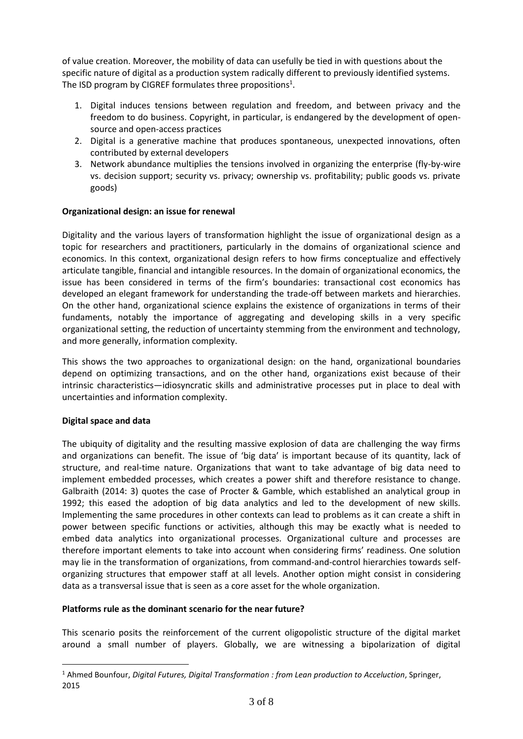of value creation. Moreover, the mobility of data can usefully be tied in with questions about the specific nature of digital as a production system radically different to previously identified systems. The ISD program by CIGREF formulates three propositions<sup>1</sup>.

- 1. Digital induces tensions between regulation and freedom, and between privacy and the freedom to do business. Copyright, in particular, is endangered by the development of opensource and open-access practices
- 2. Digital is a generative machine that produces spontaneous, unexpected innovations, often contributed by external developers
- 3. Network abundance multiplies the tensions involved in organizing the enterprise (fly-by-wire vs. decision support; security vs. privacy; ownership vs. profitability; public goods vs. private goods)

## **Organizational design: an issue for renewal**

Digitality and the various layers of transformation highlight the issue of organizational design as a topic for researchers and practitioners, particularly in the domains of organizational science and economics. In this context, organizational design refers to how firms conceptualize and effectively articulate tangible, financial and intangible resources. In the domain of organizational economics, the issue has been considered in terms of the firm's boundaries: transactional cost economics has developed an elegant framework for understanding the trade-off between markets and hierarchies. On the other hand, organizational science explains the existence of organizations in terms of their fundaments, notably the importance of aggregating and developing skills in a very specific organizational setting, the reduction of uncertainty stemming from the environment and technology, and more generally, information complexity.

This shows the two approaches to organizational design: on the hand, organizational boundaries depend on optimizing transactions, and on the other hand, organizations exist because of their intrinsic characteristics—idiosyncratic skills and administrative processes put in place to deal with uncertainties and information complexity.

## **Digital space and data**

1

The ubiquity of digitality and the resulting massive explosion of data are challenging the way firms and organizations can benefit. The issue of 'big data' is important because of its quantity, lack of structure, and real-time nature. Organizations that want to take advantage of big data need to implement embedded processes, which creates a power shift and therefore resistance to change. Galbraith (2014: 3) quotes the case of Procter & Gamble, which established an analytical group in 1992; this eased the adoption of big data analytics and led to the development of new skills. Implementing the same procedures in other contexts can lead to problems as it can create a shift in power between specific functions or activities, although this may be exactly what is needed to embed data analytics into organizational processes. Organizational culture and processes are therefore important elements to take into account when considering firms' readiness. One solution may lie in the transformation of organizations, from command-and-control hierarchies towards selforganizing structures that empower staff at all levels. Another option might consist in considering data as a transversal issue that is seen as a core asset for the whole organization.

## **Platforms rule as the dominant scenario for the near future?**

This scenario posits the reinforcement of the current oligopolistic structure of the digital market around a small number of players. Globally, we are witnessing a bipolarization of digital

<sup>1</sup> Ahmed Bounfour, *Digital Futures, Digital Transformation : from Lean production to Acceluction*, Springer, 2015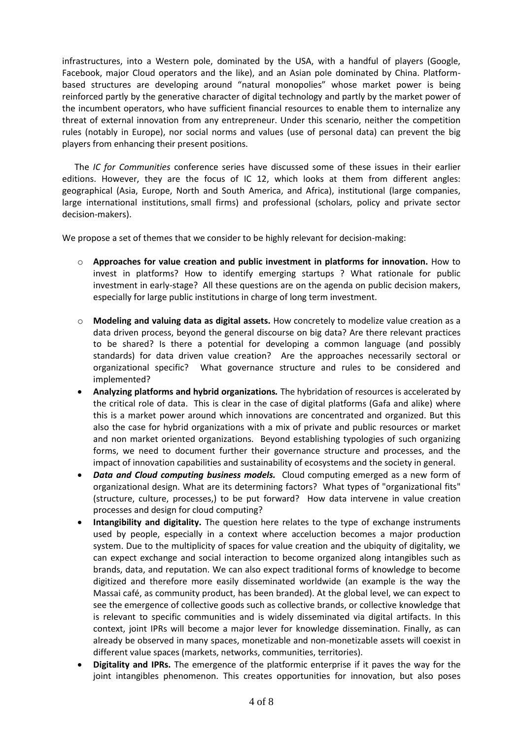infrastructures, into a Western pole, dominated by the USA, with a handful of players (Google, Facebook, major Cloud operators and the like), and an Asian pole dominated by China. Platformbased structures are developing around "natural monopolies" whose market power is being reinforced partly by the generative character of digital technology and partly by the market power of the incumbent operators, who have sufficient financial resources to enable them to internalize any threat of external innovation from any entrepreneur. Under this scenario, neither the competition rules (notably in Europe), nor social norms and values (use of personal data) can prevent the big players from enhancing their present positions.

The *IC for Communities* conference series have discussed some of these issues in their earlier editions. However, they are the focus of IC 12, which looks at them from different angles: geographical (Asia, Europe, North and South America, and Africa), institutional (large companies, large international institutions, small firms) and professional (scholars, policy and private sector decision-makers).

We propose a set of themes that we consider to be highly relevant for decision-making:

- o **Approaches for value creation and public investment in platforms for innovation.** How to invest in platforms? How to identify emerging startups ? What rationale for public investment in early-stage? All these questions are on the agenda on public decision makers, especially for large public institutions in charge of long term investment.
- o **Modeling and valuing data as digital assets.** How concretely to modelize value creation as a data driven process, beyond the general discourse on big data? Are there relevant practices to be shared? Is there a potential for developing a common language (and possibly standards) for data driven value creation? Are the approaches necessarily sectoral or organizational specific? What governance structure and rules to be considered and implemented?
- **Analyzing platforms and hybrid organizations***.* The hybridation of resources is accelerated by the critical role of data. This is clear in the case of digital platforms (Gafa and alike) where this is a market power around which innovations are concentrated and organized. But this also the case for hybrid organizations with a mix of private and public resources or market and non market oriented organizations. Beyond establishing typologies of such organizing forms, we need to document further their governance structure and processes, and the impact of innovation capabilities and sustainability of ecosystems and the society in general.
- *Data and Cloud computing business models.* Cloud computing emerged as a new form of organizational design. What are its determining factors? What types of "organizational fits" (structure, culture, processes,) to be put forward? How data intervene in value creation processes and design for cloud computing?
- **Intangibility and digitality.** The question here relates to the type of exchange instruments used by people, especially in a context where acceluction becomes a major production system. Due to the multiplicity of spaces for value creation and the ubiquity of digitality, we can expect exchange and social interaction to become organized along intangibles such as brands, data, and reputation. We can also expect traditional forms of knowledge to become digitized and therefore more easily disseminated worldwide (an example is the way the Massai café, as community product, has been branded). At the global level, we can expect to see the emergence of collective goods such as collective brands, or collective knowledge that is relevant to specific communities and is widely disseminated via digital artifacts. In this context, joint IPRs will become a major lever for knowledge dissemination. Finally, as can already be observed in many spaces, monetizable and non-monetizable assets will coexist in different value spaces (markets, networks, communities, territories).
- **Digitality and IPRs.** The emergence of the platformic enterprise if it paves the way for the joint intangibles phenomenon. This creates opportunities for innovation, but also poses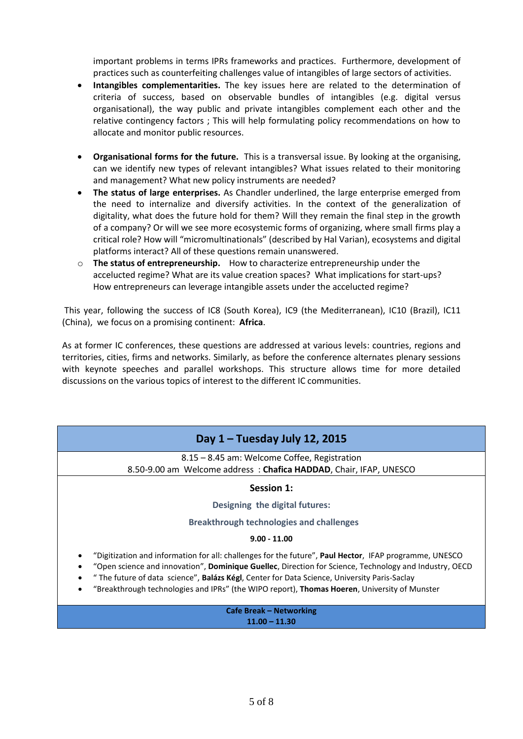important problems in terms IPRs frameworks and practices. Furthermore, development of practices such as counterfeiting challenges value of intangibles of large sectors of activities.

- **Intangibles complementarities.** The key issues here are related to the determination of criteria of success, based on observable bundles of intangibles (e.g. digital versus organisational), the way public and private intangibles complement each other and the relative contingency factors ; This will help formulating policy recommendations on how to allocate and monitor public resources.
- **Organisational forms for the future.** This is a transversal issue. By looking at the organising, can we identify new types of relevant intangibles? What issues related to their monitoring and management? What new policy instruments are needed?
- **The status of large enterprises.** As Chandler underlined, the large enterprise emerged from the need to internalize and diversify activities. In the context of the generalization of digitality, what does the future hold for them? Will they remain the final step in the growth of a company? Or will we see more ecosystemic forms of organizing, where small firms play a critical role? How will "micromultinationals" (described by Hal Varian), ecosystems and digital platforms interact? All of these questions remain unanswered.
- o **The status of entrepreneurship.** How to characterize entrepreneurship under the accelucted regime? What are its value creation spaces? What implications for start-ups? How entrepreneurs can leverage intangible assets under the accelucted regime?

This year, following the success of IC8 (South Korea), IC9 (the Mediterranean), IC10 (Brazil), IC11 (China), we focus on a promising continent: **Africa**.

As at former IC conferences, these questions are addressed at various levels: countries, regions and territories, cities, firms and networks. Similarly, as before the conference alternates plenary sessions with keynote speeches and parallel workshops. This structure allows time for more detailed discussions on the various topics of interest to the different IC communities.

## **Day 1 – Tuesday July 12, 2015**

8.15 – 8.45 am: Welcome Coffee, Registration 8.50-9.00 am Welcome address : **Chafica HADDAD**, Chair, IFAP, UNESCO

## **Session 1:**

## **Designing the digital futures:**

## **Breakthrough technologies and challenges**

## **9.00 - 11.00**

- "Digitization and information for all: challenges for the future", **Paul Hector**, IFAP programme, UNESCO
- "Open science and innovation", **Dominique Guellec**, Direction for Science, Technology and Industry, OECD
- " The future of data science", **Balázs Kégl**, Center for Data Science, University Paris-Saclay
- "Breakthrough technologies and IPRs" (the WIPO report), **Thomas Hoeren**, University of Munster

**Cafe Break – Networking 11.00 – 11.30**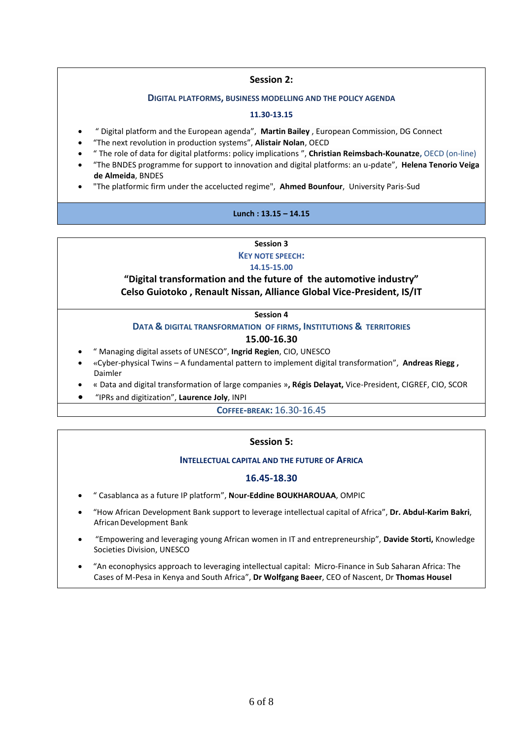## **Session 2:**

#### **DIGITAL PLATFORMS, BUSINESS MODELLING AND THE POLICY AGENDA**

#### **11.30-13.15**

- " Digital platform and the European agenda", **Martin Bailey** , European Commission, DG Connect
- "The next revolution in production systems", **Alistair Nolan**, OECD
- " The role of data for digital platforms: policy implications ", **Christian Reimsbach-Kounatze,** OECD (on-line)
- "The BNDES programme for support to innovation and digital platforms: an u-pdate", **Helena Tenorio Veiga de Almeida**, BNDES
- "The platformic firm under the accelucted regime", **Ahmed Bounfour**, University Paris-Sud

## **Lunch : 13.15 – 14.15**

**Session 3 KEY NOTE SPEECH: 14.15-15.00**

**"Digital transformation and the future of the automotive industry" Celso Guiotoko , Renault Nissan, Alliance Global Vice-President, IS/IT**

#### **Session 4**

## **DATA & DIGITAL TRANSFORMATION OF FIRMS, INSTITUTIONS & TERRITORIES**

## **15.00-16.30**

- " Managing digital assets of UNESCO", **Ingrid Regien**, CIO, UNESCO
- «Cyber-physical Twins A fundamental pattern to implement digital transformation", **Andreas Riegg ,** Daimler
- « Data and digital transformation of large companies »**, Régis Delayat,** Vice-President, CIGREF, CIO, SCOR
- "IPRs and digitization", **Laurence Joly**, INPI

**COFFEE-BREAK:** 16.30-16.45

## **Session 5:**

#### **INTELLECTUAL CAPITAL AND THE FUTURE OF AFRICA**

## **16.45-18.30**

- " Casablanca as a future IP platform", **N**o**ur-Eddine BOUKHAROUAA**, OMPIC
- "How African Development Bank support to leverage intellectual capital of Africa", **Dr. Abdul-Karim Bakri**, AfricanDevelopment Bank
- "Empowering and leveraging young African women in IT and entrepreneurship", **Davide Storti,** Knowledge Societies Division, UNESCO
- "An econophysics approach to leveraging intellectual capital: Micro-Finance in Sub Saharan Africa: The Cases of M-Pesa in Kenya and South Africa", **Dr Wolfgang Baeer**, CEO of Nascent, Dr **Thomas Housel**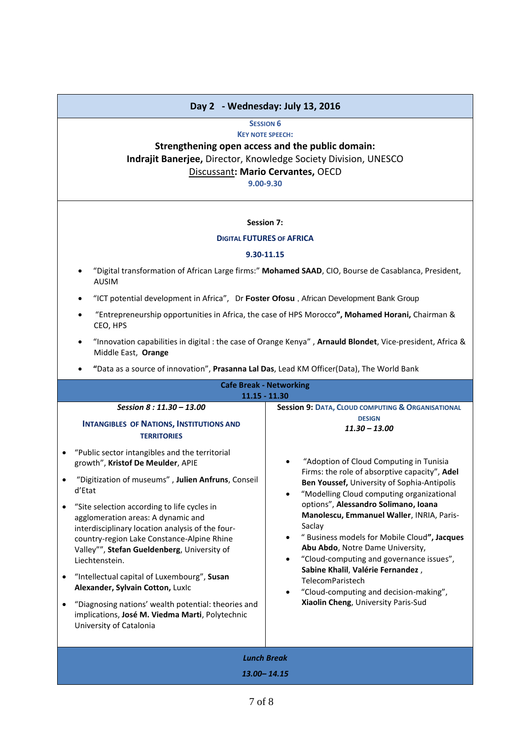## **Day 2 - Wednesday: July 13, 2016**

#### **SESSION 6 KEY NOTE SPEECH:**

## **Strengthening open access and the public domain: Indrajit Banerjee,** Director, Knowledge Society Division, UNESCO Discussant**: Mario Cervantes,** OECD

**9.00-9.30**

#### **Session 7:**

#### **DIGITAL FUTURES OF AFRICA**

### **9.30-11.15**

- "Digital transformation of African Large firms:" **Mohamed SAAD**, CIO, Bourse de Casablanca, President, AUSIM
- "ICT potential development in Africa", Dr **Foster Ofosu** , African Development Bank Group
- "Entrepreneurship opportunities in Africa, the case of HPS Morocco**", Mohamed Horani,** Chairman & CEO, HPS
- "Innovation capabilities in digital : the case of Orange Kenya" , **Arnauld Blondet**, Vice-president, Africa & Middle East, **Orange**
- **"**Data as a source of innovation", **Prasanna Lal Das**, Lead KM Officer(Data), The World Bank

| <b>Cafe Break - Networking</b><br>$11.15 - 11.30$                                                                                                                                                                                                                                                                                                                                                                                                                                                                                                                                                                                                                                                                                        |                                                                                                                                                                                                                                                                                                                                                                                                                                                                                                                                                                                                                                                                   |
|------------------------------------------------------------------------------------------------------------------------------------------------------------------------------------------------------------------------------------------------------------------------------------------------------------------------------------------------------------------------------------------------------------------------------------------------------------------------------------------------------------------------------------------------------------------------------------------------------------------------------------------------------------------------------------------------------------------------------------------|-------------------------------------------------------------------------------------------------------------------------------------------------------------------------------------------------------------------------------------------------------------------------------------------------------------------------------------------------------------------------------------------------------------------------------------------------------------------------------------------------------------------------------------------------------------------------------------------------------------------------------------------------------------------|
| Session 8: 11.30 - 13.00<br><b>INTANGIBLES OF NATIONS, INSTITUTIONS AND</b><br><b>TERRITORIES</b><br>"Public sector intangibles and the territorial<br>growth", Kristof De Meulder, APIE<br>"Digitization of museums", Julien Anfruns, Conseil<br>d'Etat<br>"Site selection according to life cycles in<br>agglomeration areas: A dynamic and<br>interdisciplinary location analysis of the four-<br>country-region Lake Constance-Alpine Rhine<br>Valley"", Stefan Gueldenberg, University of<br>Liechtenstein.<br>"Intellectual capital of Luxembourg", Susan<br>Alexander, Sylvain Cotton, LuxIc<br>"Diagnosing nations' wealth potential: theories and<br>implications, José M. Viedma Marti, Polytechnic<br>University of Catalonia | <b>Session 9: DATA, CLOUD COMPUTING &amp; ORGANISATIONAL</b><br><b>DESIGN</b><br>$11.30 - 13.00$<br>"Adoption of Cloud Computing in Tunisia<br>Firms: the role of absorptive capacity", Adel<br>Ben Youssef, University of Sophia-Antipolis<br>"Modelling Cloud computing organizational<br>options", Alessandro Solimano, Ioana<br>Manolescu, Emmanuel Waller, INRIA, Paris-<br>Saclay<br>" Business models for Mobile Cloud", Jacques<br>Abu Abdo, Notre Dame University,<br>"Cloud-computing and governance issues",<br>Sabine Khalil, Valérie Fernandez,<br>TelecomParistech<br>"Cloud-computing and decision-making",<br>Xiaolin Cheng, University Paris-Sud |
| <b>Lunch Break</b>                                                                                                                                                                                                                                                                                                                                                                                                                                                                                                                                                                                                                                                                                                                       |                                                                                                                                                                                                                                                                                                                                                                                                                                                                                                                                                                                                                                                                   |
| $13.00 - 14.15$                                                                                                                                                                                                                                                                                                                                                                                                                                                                                                                                                                                                                                                                                                                          |                                                                                                                                                                                                                                                                                                                                                                                                                                                                                                                                                                                                                                                                   |